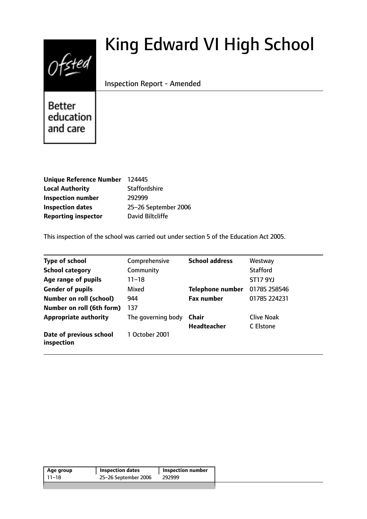# $0$ fsted

# King Edward VI High School

Inspection Report - Amended

**Better** education and care

| Unique Reference Number 124445 |                      |
|--------------------------------|----------------------|
| <b>Local Authority</b>         | <b>Staffordshire</b> |
| <b>Inspection number</b>       | 292999               |
| <b>Inspection dates</b>        | 25-26 September 2006 |
| <b>Reporting inspector</b>     | David Biltcliffe     |

This inspection of the school was carried out under section 5 of the Education Act 2005.

| <b>Type of school</b>                 | Comprehensive      | <b>School address</b>   | Westway           |
|---------------------------------------|--------------------|-------------------------|-------------------|
| <b>School category</b>                | Community          |                         | <b>Stafford</b>   |
| Age range of pupils                   | 11–18              |                         | <b>ST17 9YJ</b>   |
| <b>Gender of pupils</b>               | Mixed              | <b>Telephone number</b> | 01785 258546      |
| <b>Number on roll (school)</b>        | 944                | <b>Fax number</b>       | 01785 224231      |
| Number on roll (6th form)             | 137                |                         |                   |
| <b>Appropriate authority</b>          | The governing body | Chair                   | <b>Clive Noak</b> |
|                                       |                    | <b>Headteacher</b>      | C Elstone         |
| Date of previous school<br>inspection | 1 October 2001     |                         |                   |

| 25-26 September 2006<br>11–18<br>292999 | Age group | <b>Inspection dates</b> | <b>Inspection number</b> |  |
|-----------------------------------------|-----------|-------------------------|--------------------------|--|
|                                         |           |                         |                          |  |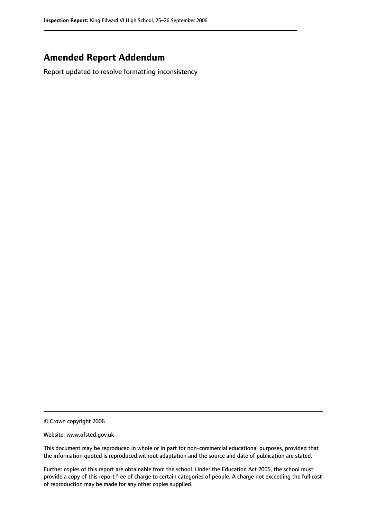# **Amended Report Addendum**

Report updated to resolve formatting inconsistency

© Crown copyright 2006

Website: www.ofsted.gov.uk

This document may be reproduced in whole or in part for non-commercial educational purposes, provided that the information quoted is reproduced without adaptation and the source and date of publication are stated.

Further copies of this report are obtainable from the school. Under the Education Act 2005, the school must provide a copy of this report free of charge to certain categories of people. A charge not exceeding the full cost of reproduction may be made for any other copies supplied.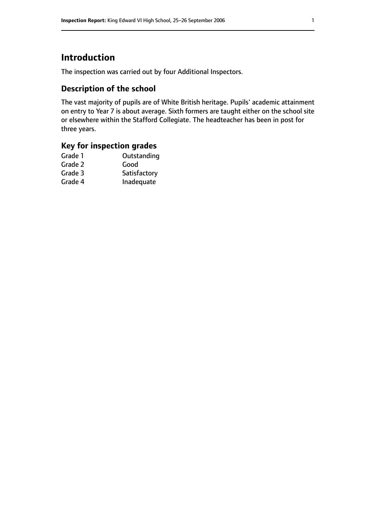# **Introduction**

The inspection was carried out by four Additional Inspectors.

# **Description of the school**

The vast majority of pupils are of White British heritage. Pupils' academic attainment on entry to Year 7 is about average. Sixth formers are taught either on the school site or elsewhere within the Stafford Collegiate. The headteacher has been in post for three years.

# **Key for inspection grades**

| Grade 1 | Outstanding  |
|---------|--------------|
| Grade 2 | Good         |
| Grade 3 | Satisfactory |
| Grade 4 | Inadequate   |
|         |              |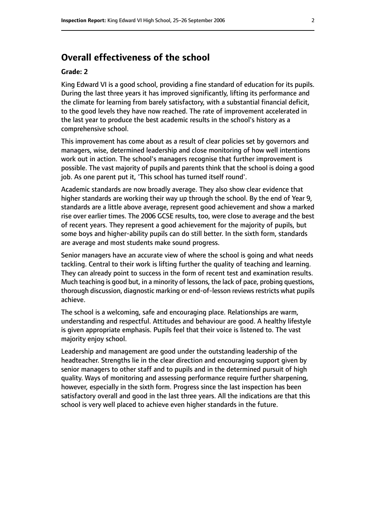# **Overall effectiveness of the school**

#### **Grade: 2**

King Edward VI is a good school, providing a fine standard of education for its pupils. During the last three years it has improved significantly, lifting its performance and the climate for learning from barely satisfactory, with a substantial financial deficit, to the good levels they have now reached. The rate of improvement accelerated in the last year to produce the best academic results in the school's history as a comprehensive school.

This improvement has come about as a result of clear policies set by governors and managers, wise, determined leadership and close monitoring of how well intentions work out in action. The school's managers recognise that further improvement is possible. The vast majority of pupils and parents think that the school is doing a good job. As one parent put it, 'This school has turned itself round'.

Academic standards are now broadly average. They also show clear evidence that higher standards are working their way up through the school. By the end of Year 9, standards are a little above average, represent good achievement and show a marked rise over earlier times. The 2006 GCSE results, too, were close to average and the best of recent years. They represent a good achievement for the majority of pupils, but some boys and higher-ability pupils can do still better. In the sixth form, standards are average and most students make sound progress.

Senior managers have an accurate view of where the school is going and what needs tackling. Central to their work is lifting further the quality of teaching and learning. They can already point to success in the form of recent test and examination results. Much teaching is good but, in a minority of lessons, the lack of pace, probing questions, thorough discussion, diagnostic marking or end-of-lesson reviews restricts what pupils achieve.

The school is a welcoming, safe and encouraging place. Relationships are warm, understanding and respectful. Attitudes and behaviour are good. A healthy lifestyle is given appropriate emphasis. Pupils feel that their voice is listened to. The vast majority enjoy school.

Leadership and management are good under the outstanding leadership of the headteacher. Strengths lie in the clear direction and encouraging support given by senior managers to other staff and to pupils and in the determined pursuit of high quality. Ways of monitoring and assessing performance require further sharpening, however, especially in the sixth form. Progress since the last inspection has been satisfactory overall and good in the last three years. All the indications are that this school is very well placed to achieve even higher standards in the future.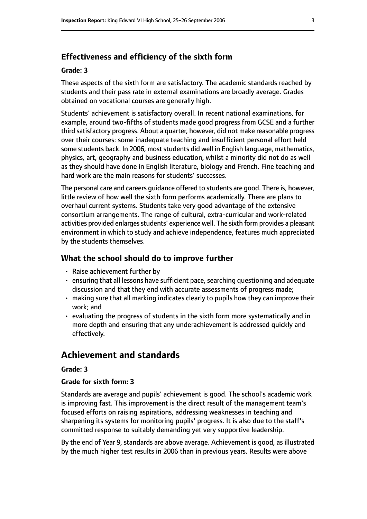## **Effectiveness and efficiency of the sixth form**

#### **Grade: 3**

These aspects of the sixth form are satisfactory. The academic standards reached by students and their pass rate in external examinations are broadly average. Grades obtained on vocational courses are generally high.

Students' achievement is satisfactory overall. In recent national examinations, for example, around two-fifths of students made good progress from GCSE and a further third satisfactory progress. About a quarter, however, did not make reasonable progress over their courses: some inadequate teaching and insufficient personal effort held some students back. In 2006, most students did well in English language, mathematics, physics, art, geography and business education, whilst a minority did not do as well as they should have done in English literature, biology and French. Fine teaching and hard work are the main reasons for students' successes.

The personal care and careers guidance offered to students are good. There is, however, little review of how well the sixth form performs academically. There are plans to overhaul current systems. Students take very good advantage of the extensive consortium arrangements. The range of cultural, extra-curricular and work-related activities provided enlarges students' experience well. The sixth form provides a pleasant environment in which to study and achieve independence, features much appreciated by the students themselves.

#### **What the school should do to improve further**

- Raise achievement further by
- ensuring that all lessons have sufficient pace, searching questioning and adequate discussion and that they end with accurate assessments of progress made;
- making sure that all marking indicates clearly to pupils how they can improve their work; and
- evaluating the progress of students in the sixth form more systematically and in more depth and ensuring that any underachievement is addressed quickly and effectively.

# **Achievement and standards**

#### **Grade: 3**

#### **Grade for sixth form: 3**

Standards are average and pupils' achievement is good. The school's academic work is improving fast. This improvement is the direct result of the management team's focused efforts on raising aspirations, addressing weaknesses in teaching and sharpening its systems for monitoring pupils' progress. It is also due to the staff's committed response to suitably demanding yet very supportive leadership.

By the end of Year 9, standards are above average. Achievement is good, as illustrated by the much higher test results in 2006 than in previous years. Results were above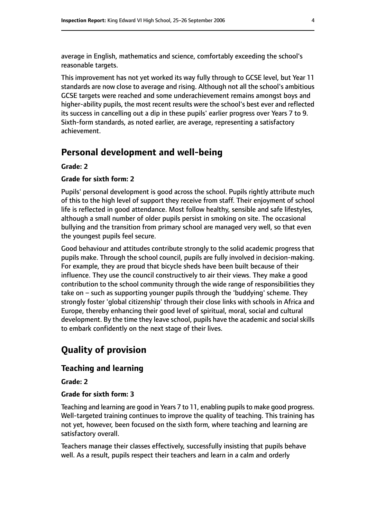average in English, mathematics and science, comfortably exceeding the school's reasonable targets.

This improvement has not yet worked its way fully through to GCSE level, but Year 11 standards are now close to average and rising. Although not all the school's ambitious GCSE targets were reached and some underachievement remains amongst boys and higher-ability pupils, the most recent results were the school's best ever and reflected its success in cancelling out a dip in these pupils' earlier progress over Years 7 to 9. Sixth-form standards, as noted earlier, are average, representing a satisfactory achievement.

# **Personal development and well-being**

#### **Grade: 2**

#### **Grade for sixth form: 2**

Pupils' personal development is good across the school. Pupils rightly attribute much of this to the high level of support they receive from staff. Their enjoyment of school life is reflected in good attendance. Most follow healthy, sensible and safe lifestyles, although a small number of older pupils persist in smoking on site. The occasional bullying and the transition from primary school are managed very well, so that even the youngest pupils feel secure.

Good behaviour and attitudes contribute strongly to the solid academic progress that pupils make. Through the school council, pupils are fully involved in decision-making. For example, they are proud that bicycle sheds have been built because of their influence. They use the council constructively to air their views. They make a good contribution to the school community through the wide range of responsibilities they take on  $-$  such as supporting younger pupils through the 'buddying' scheme. They strongly foster 'global citizenship' through their close links with schools in Africa and Europe, thereby enhancing their good level of spiritual, moral, social and cultural development. By the time they leave school, pupils have the academic and social skills to embark confidently on the next stage of their lives.

# **Quality of provision**

#### **Teaching and learning**

**Grade: 2**

#### **Grade for sixth form: 3**

Teaching and learning are good in Years 7 to 11, enabling pupils to make good progress. Well-targeted training continues to improve the quality of teaching. This training has not yet, however, been focused on the sixth form, where teaching and learning are satisfactory overall.

Teachers manage their classes effectively, successfully insisting that pupils behave well. As a result, pupils respect their teachers and learn in a calm and orderly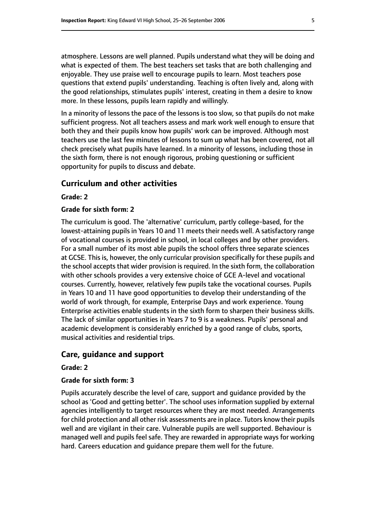atmosphere. Lessons are well planned. Pupils understand what they will be doing and what is expected of them. The best teachers set tasks that are both challenging and enjoyable. They use praise well to encourage pupils to learn. Most teachers pose questions that extend pupils' understanding. Teaching is often lively and, along with the good relationships, stimulates pupils' interest, creating in them a desire to know more. In these lessons, pupils learn rapidly and willingly.

In a minority of lessons the pace of the lessons is too slow, so that pupils do not make sufficient progress. Not all teachers assess and mark work well enough to ensure that both they and their pupils know how pupils' work can be improved. Although most teachers use the last few minutes of lessons to sum up what has been covered, not all check precisely what pupils have learned. In a minority of lessons, including those in the sixth form, there is not enough rigorous, probing questioning or sufficient opportunity for pupils to discuss and debate.

#### **Curriculum and other activities**

#### **Grade: 2**

#### **Grade for sixth form: 2**

The curriculum is good. The 'alternative' curriculum, partly college-based, for the lowest-attaining pupils in Years 10 and 11 meets their needs well. A satisfactory range of vocational courses is provided in school, in local colleges and by other providers. For a small number of its most able pupils the school offers three separate sciences at GCSE. This is, however, the only curricular provision specifically for these pupils and the school accepts that wider provision is required. In the sixth form, the collaboration with other schools provides a very extensive choice of GCE A-level and vocational courses. Currently, however, relatively few pupils take the vocational courses. Pupils in Years 10 and 11 have good opportunities to develop their understanding of the world of work through, for example, Enterprise Days and work experience. Young Enterprise activities enable students in the sixth form to sharpen their business skills. The lack of similar opportunities in Years 7 to 9 is a weakness. Pupils' personal and academic development is considerably enriched by a good range of clubs, sports, musical activities and residential trips.

#### **Care, guidance and support**

#### **Grade: 2**

#### **Grade for sixth form: 3**

Pupils accurately describe the level of care, support and guidance provided by the school as 'Good and getting better'. The school uses information supplied by external agencies intelligently to target resources where they are most needed. Arrangements for child protection and all other risk assessments are in place. Tutors know their pupils well and are vigilant in their care. Vulnerable pupils are well supported. Behaviour is managed well and pupils feel safe. They are rewarded in appropriate ways for working hard. Careers education and guidance prepare them well for the future.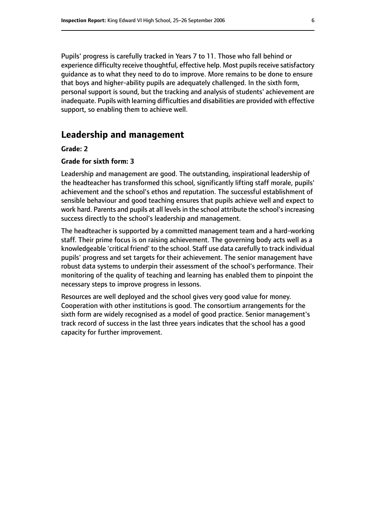Pupils' progress is carefully tracked in Years 7 to 11. Those who fall behind or experience difficulty receive thoughtful, effective help. Most pupils receive satisfactory guidance as to what they need to do to improve. More remains to be done to ensure that boys and higher-ability pupils are adequately challenged. In the sixth form, personal support is sound, but the tracking and analysis of students' achievement are inadequate. Pupils with learning difficulties and disabilities are provided with effective support, so enabling them to achieve well.

# **Leadership and management**

#### **Grade: 2**

#### **Grade for sixth form: 3**

Leadership and management are good. The outstanding, inspirational leadership of the headteacher has transformed this school, significantly lifting staff morale, pupils' achievement and the school's ethos and reputation. The successful establishment of sensible behaviour and good teaching ensures that pupils achieve well and expect to work hard. Parents and pupils at all levels in the school attribute the school's increasing success directly to the school's leadership and management.

The headteacher is supported by a committed management team and a hard-working staff. Their prime focus is on raising achievement. The governing body acts well as a knowledgeable 'critical friend' to the school. Staff use data carefully to track individual pupils' progress and set targets for their achievement. The senior management have robust data systems to underpin their assessment of the school's performance. Their monitoring of the quality of teaching and learning has enabled them to pinpoint the necessary steps to improve progress in lessons.

Resources are well deployed and the school gives very good value for money. Cooperation with other institutions is good. The consortium arrangements for the sixth form are widely recognised as a model of good practice. Senior management's track record of success in the last three years indicates that the school has a good capacity for further improvement.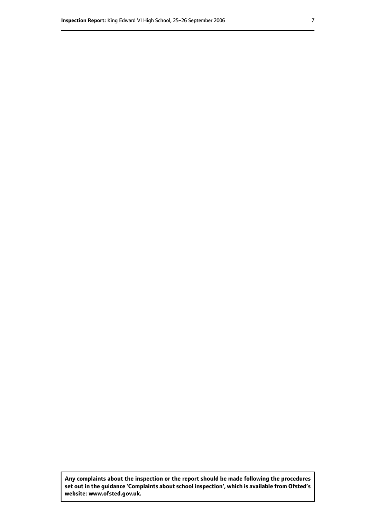**Any complaints about the inspection or the report should be made following the procedures set out inthe guidance 'Complaints about school inspection', whichis available from Ofsted's website: www.ofsted.gov.uk.**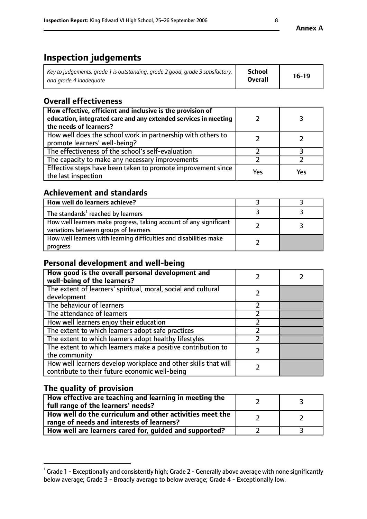# **Inspection judgements**

| Key to judgements: grade 1 is outstanding, grade 2 good, grade 3 satisfactory, $\mid$ | School         | $16-19$ |
|---------------------------------------------------------------------------------------|----------------|---------|
| and grade 4 inadeguate                                                                | <b>Overall</b> |         |

# **Overall effectiveness**

| How effective, efficient and inclusive is the provision of<br>education, integrated care and any extended services in meeting<br>the needs of learners? |     |     |
|---------------------------------------------------------------------------------------------------------------------------------------------------------|-----|-----|
| How well does the school work in partnership with others to<br>promote learners' well-being?                                                            |     |     |
| The effectiveness of the school's self-evaluation                                                                                                       |     |     |
| The capacity to make any necessary improvements                                                                                                         |     |     |
| Effective steps have been taken to promote improvement since<br>the last inspection                                                                     | Yes | Υρς |

## **Achievement and standards**

| How well do learners achieve?                                                                               |  |
|-------------------------------------------------------------------------------------------------------------|--|
| The standards <sup>1</sup> reached by learners                                                              |  |
| How well learners make progress, taking account of any significant<br>variations between groups of learners |  |
| How well learners with learning difficulties and disabilities make<br>progress                              |  |

# **Personal development and well-being**

| How good is the overall personal development and<br>well-being of the learners?                                  |  |
|------------------------------------------------------------------------------------------------------------------|--|
| The extent of learners' spiritual, moral, social and cultural<br>development                                     |  |
| The behaviour of learners                                                                                        |  |
| The attendance of learners                                                                                       |  |
| How well learners enjoy their education                                                                          |  |
| The extent to which learners adopt safe practices                                                                |  |
| The extent to which learners adopt healthy lifestyles                                                            |  |
| The extent to which learners make a positive contribution to<br>the community                                    |  |
| How well learners develop workplace and other skills that will<br>contribute to their future economic well-being |  |

# **The quality of provision**

| How effective are teaching and learning in meeting the<br>full range of the learners' needs?          |  |
|-------------------------------------------------------------------------------------------------------|--|
| How well do the curriculum and other activities meet the<br>range of needs and interests of learners? |  |
| How well are learners cared for, guided and supported?                                                |  |

 $^1$  Grade 1 - Exceptionally and consistently high; Grade 2 - Generally above average with none significantly below average; Grade 3 - Broadly average to below average; Grade 4 - Exceptionally low.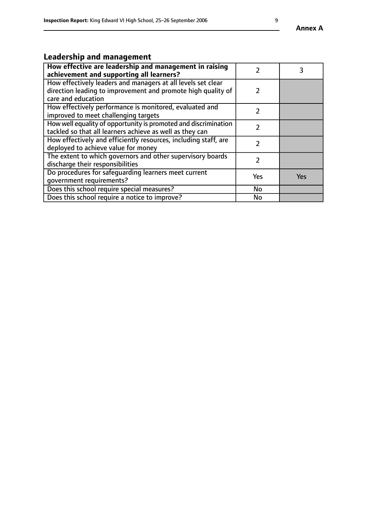# **Leadership and management**

| How effective are leadership and management in raising<br>achievement and supporting all learners?                                                 |     |     |
|----------------------------------------------------------------------------------------------------------------------------------------------------|-----|-----|
| How effectively leaders and managers at all levels set clear<br>direction leading to improvement and promote high quality of<br>care and education |     |     |
| How effectively performance is monitored, evaluated and<br>improved to meet challenging targets                                                    |     |     |
| How well equality of opportunity is promoted and discrimination<br>tackled so that all learners achieve as well as they can                        | 7   |     |
| How effectively and efficiently resources, including staff, are<br>deployed to achieve value for money                                             |     |     |
| The extent to which governors and other supervisory boards<br>discharge their responsibilities                                                     |     |     |
| Do procedures for safequarding learners meet current<br>qovernment requirements?                                                                   | Yes | Yes |
| Does this school require special measures?                                                                                                         | No  |     |
| Does this school require a notice to improve?                                                                                                      | No  |     |

**Annex A**